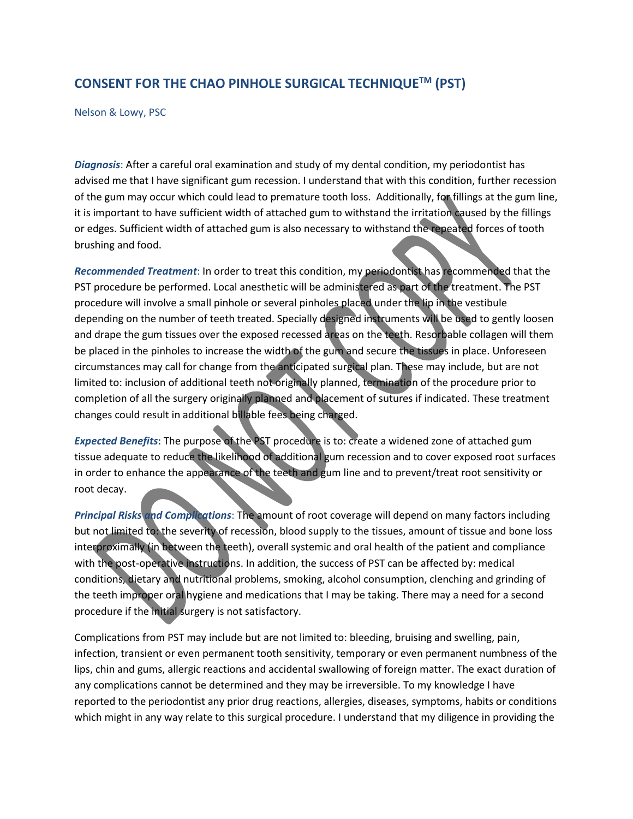## **CONSENT FOR THE CHAO PINHOLE SURGICAL TECHNIQUETM (PST)**

Nelson & Lowy, PSC

*Diagnosis*: After a careful oral examination and study of my dental condition, my periodontist has advised me that I have significant gum recession. I understand that with this condition, further recession of the gum may occur which could lead to premature tooth loss. Additionally, for fillings at the gum line, it is important to have sufficient width of attached gum to withstand the irritation caused by the fillings or edges. Sufficient width of attached gum is also necessary to withstand the repeated forces of tooth brushing and food.

*Recommended Treatment*: In order to treat this condition, my periodontist has recommended that the PST procedure be performed. Local anesthetic will be administered as part of the treatment. The PST procedure will involve a small pinhole or several pinholes placed under the lip in the vestibule depending on the number of teeth treated. Specially designed instruments will be used to gently loosen and drape the gum tissues over the exposed recessed areas on the teeth. Resorbable collagen will them be placed in the pinholes to increase the width of the gum and secure the tissues in place. Unforeseen circumstances may call for change from the anticipated surgical plan. These may include, but are not limited to: inclusion of additional teeth not originally planned, termination of the procedure prior to completion of all the surgery originally planned and placement of sutures if indicated. These treatment changes could result in additional billable fees being charged.

*Expected Benefits*: The purpose of the PST procedure is to: create a widened zone of attached gum tissue adequate to reduce the likelihood of additional gum recession and to cover exposed root surfaces in order to enhance the appearance of the teeth and gum line and to prevent/treat root sensitivity or root decay.

*Principal Risks and Complications*: The amount of root coverage will depend on many factors including but not limited to: the severity of recession, blood supply to the tissues, amount of tissue and bone loss interproximally (in between the teeth), overall systemic and oral health of the patient and compliance with the post-operative instructions. In addition, the success of PST can be affected by: medical conditions, dietary and nutritional problems, smoking, alcohol consumption, clenching and grinding of the teeth improper oral hygiene and medications that I may be taking. There may a need for a second procedure if the initial surgery is not satisfactory.

Complications from PST may include but are not limited to: bleeding, bruising and swelling, pain, infection, transient or even permanent tooth sensitivity, temporary or even permanent numbness of the lips, chin and gums, allergic reactions and accidental swallowing of foreign matter. The exact duration of any complications cannot be determined and they may be irreversible. To my knowledge I have reported to the periodontist any prior drug reactions, allergies, diseases, symptoms, habits or conditions which might in any way relate to this surgical procedure. I understand that my diligence in providing the